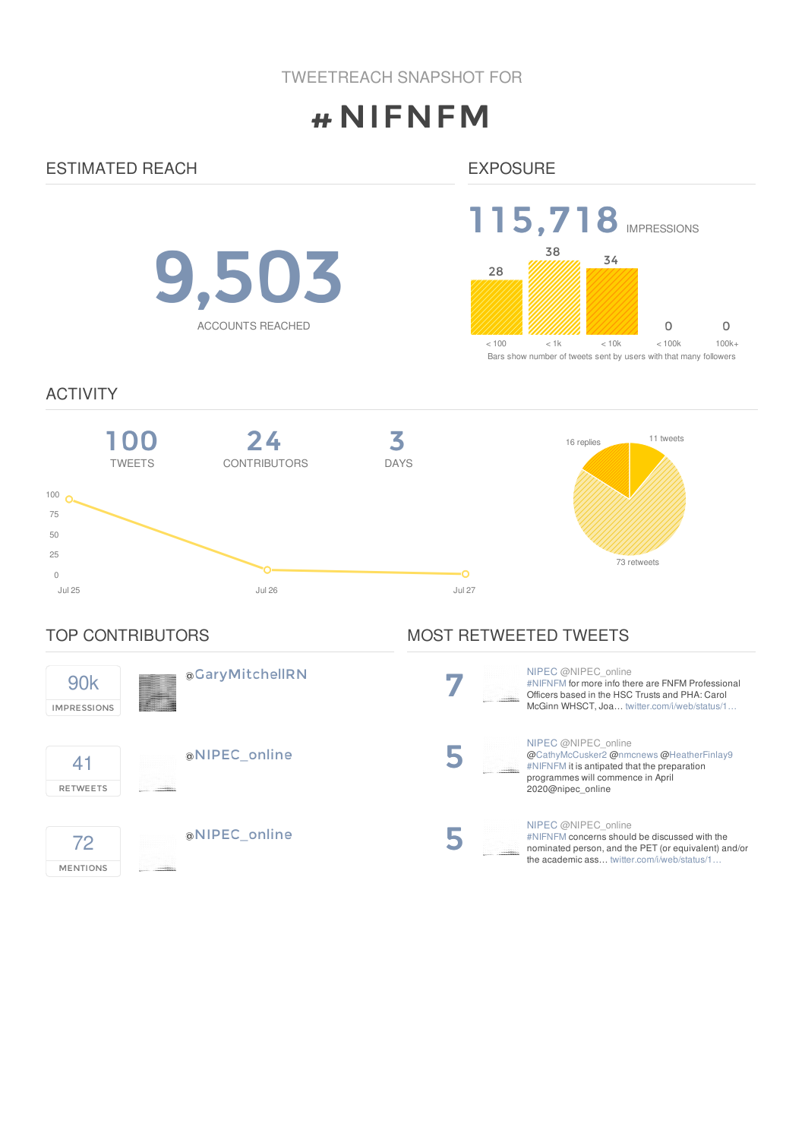# #NIFNFM

# ESTIMATED REACH

# EXPOSURE

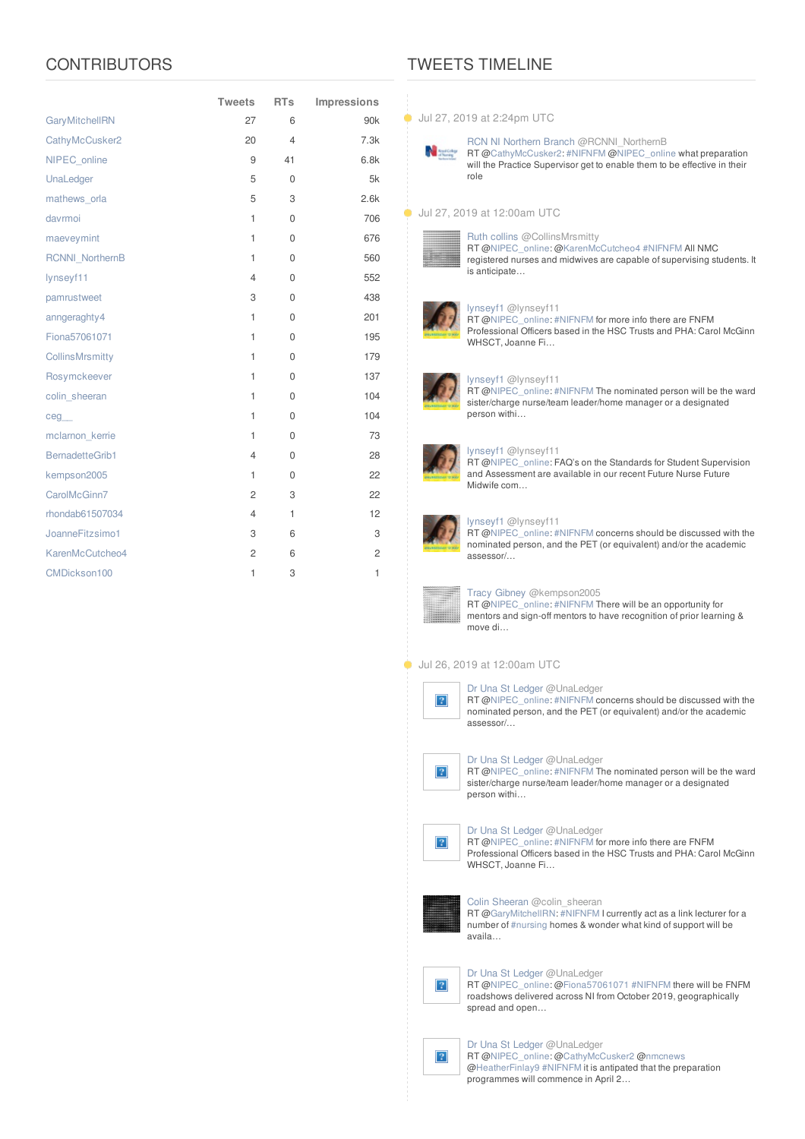# **CONTRIBUTORS**

|                        | <b>Tweets</b>  | <b>RTs</b>     | Impressions     |
|------------------------|----------------|----------------|-----------------|
| <b>GaryMitchellRN</b>  | 27             | 6              | 90 <sub>k</sub> |
| CathyMcCusker2         | 20             | $\overline{4}$ | 7.3k            |
| NIPEC_online           | 9              | 41             | 6.8k            |
| UnaLedger              | 5              | 0              | 5k              |
| mathews orla           | 5              | 3              | 2.6k            |
| davrmoi                | $\mathbf{1}$   | 0              | 706             |
| maeveymint             | $\mathbf{1}$   | $\mathbf 0$    | 676             |
| <b>RCNNI</b> NorthernB | $\mathbf{1}$   | $\Omega$       | 560             |
| lynseyf11              | $\overline{4}$ | $\mathbf{0}$   | 552             |
| pamrustweet            | 3              | $\Omega$       | 438             |
| anngeraghty4           | 1              | $\mathbf 0$    | 201             |
| Fiona57061071          | 1              | $\Omega$       | 195             |
| <b>CollinsMrsmitty</b> | $\mathbf{1}$   | 0              | 179             |
| Rosymckeever           | $\mathbf{1}$   | 0              | 137             |
| colin sheeran          | $\mathbf{1}$   | 0              | 104             |
| ceg                    | $\mathbf{1}$   | 0              | 104             |
| mclarnon kerrie        | $\mathbf{1}$   | 0              | 73              |
| BernadetteGrib1        | $\overline{4}$ | 0              | 28              |
| kempson2005            | $\mathbf{1}$   | $\mathbf 0$    | 22              |
| CarolMcGinn7           | $\overline{c}$ | 3              | 22              |
| rhondab61507034        | $\overline{4}$ | 1              | 12              |
| JoanneFitzsimo1        | 3              | 6              | 3               |
| KarenMcCutcheo4        | $\overline{c}$ | 6              | $\overline{c}$  |
| CMDickson100           | 1              | 3              | 1               |

# TWEETS TIMELINE

### **Jul 27, 2019 at 2:24pm UTC**



### Jul 27, 2019 at 12:00am UTC



۵

### Ruth [collins](//twitter.com/CollinsMrsmitty) @CollinsMrsmitty





### RT [@NIPEC\\_online](http://twitter.com/NIPEC_online): [@KarenMcCutcheo4](http://twitter.com/KarenMcCutcheo4) [#NIFNFM](/reach?q=%23NIFNFM) All NMC registered nurses and midwives are capable of supervising students. It

## [lynseyf1](//twitter.com/lynseyf11) @lynseyf11

RT [@NIPEC\\_online](http://twitter.com/NIPEC_online): [#NIFNFM](/reach?q=%23NIFNFM) for more info there are FNFM Professional Officers based in the HSC Trusts and PHA: Carol McGinn WHSCT, Joanne Fi…



### [lynseyf1](//twitter.com/lynseyf11) @lynseyf11

RT [@NIPEC\\_online](http://twitter.com/NIPEC_online): [#NIFNFM](/reach?q=%23NIFNFM) The nominated person will be the ward sister/charge nurse/team leader/home manager or a designated person withi…

RT [@NIPEC\\_online](http://twitter.com/NIPEC_online): FAQ's on the Standards for Student Supervision and Assessment are available in our recent Future Nurse Future



### [lynseyf1](//twitter.com/lynseyf11) @lynseyf11

[lynseyf1](//twitter.com/lynseyf11) @lynseyf11

Midwife com…

RT [@NIPEC\\_online](http://twitter.com/NIPEC_online): [#NIFNFM](/reach?q=%23NIFNFM) concerns should be discussed with the nominated person, and the PET (or equivalent) and/or the academic assessor/…



۸

### Tracy [Gibney](//twitter.com/kempson2005) @kempson2005

RT [@NIPEC\\_online](http://twitter.com/NIPEC_online): [#NIFNFM](/reach?q=%23NIFNFM) There will be an opportunity for mentors and sign-off mentors to have recognition of prior learning & move di…

### Jul 26, 2019 at 12:00am UTC



## Dr Una St [Ledger](//twitter.com/UnaLedger) @UnaLedger

RT [@NIPEC\\_online](http://twitter.com/NIPEC_online): [#NIFNFM](/reach?q=%23NIFNFM) concerns should be discussed with the nominated person, and the PET (or equivalent) and/or the academic assessor/…

### Dr Una St [Ledger](//twitter.com/UnaLedger) @UnaLedger



RT [@NIPEC\\_online](http://twitter.com/NIPEC_online): [#NIFNFM](/reach?q=%23NIFNFM) The nominated person will be the ward sister/charge nurse/team leader/home manager or a designated person withi…

# $\vert$ ?



RT [@NIPEC\\_online](http://twitter.com/NIPEC_online): [#NIFNFM](/reach?q=%23NIFNFM) for more info there are FNFM Professional Officers based in the HSC Trusts and PHA: Carol McGinn WHSCT, Joanne Fi



### Colin [Sheeran](//twitter.com/colin_sheeran) @colin\_sheeran

RT [@GaryMitchellRN](http://twitter.com/GaryMitchellRN): [#NIFNFM](/reach?q=%23NIFNFM) Icurrently act as a link lecturer for a number of [#nursing](/reach?q=%23nursing) homes & wonder what kind of support will be availa…



### Dr Una St [Ledger](//twitter.com/UnaLedger) @UnaLedger

RT [@NIPEC\\_online](http://twitter.com/NIPEC_online): [@Fiona57061071](http://twitter.com/Fiona57061071) [#NIFNFM](/reach?q=%23NIFNFM) there will be FNFM roadshows delivered across NI from October 2019, geographically spread and open…



Dr Una St [Ledger](//twitter.com/UnaLedger) @UnaLedger RT [@NIPEC\\_online](http://twitter.com/NIPEC_online): [@CathyMcCusker2](http://twitter.com/CathyMcCusker2) [@nmcnews](http://twitter.com/nmcnews) [@HeatherFinlay9](http://twitter.com/HeatherFinlay9) [#NIFNFM](/reach?q=%23NIFNFM) it is antipated that the preparation programmes will commence in April 2…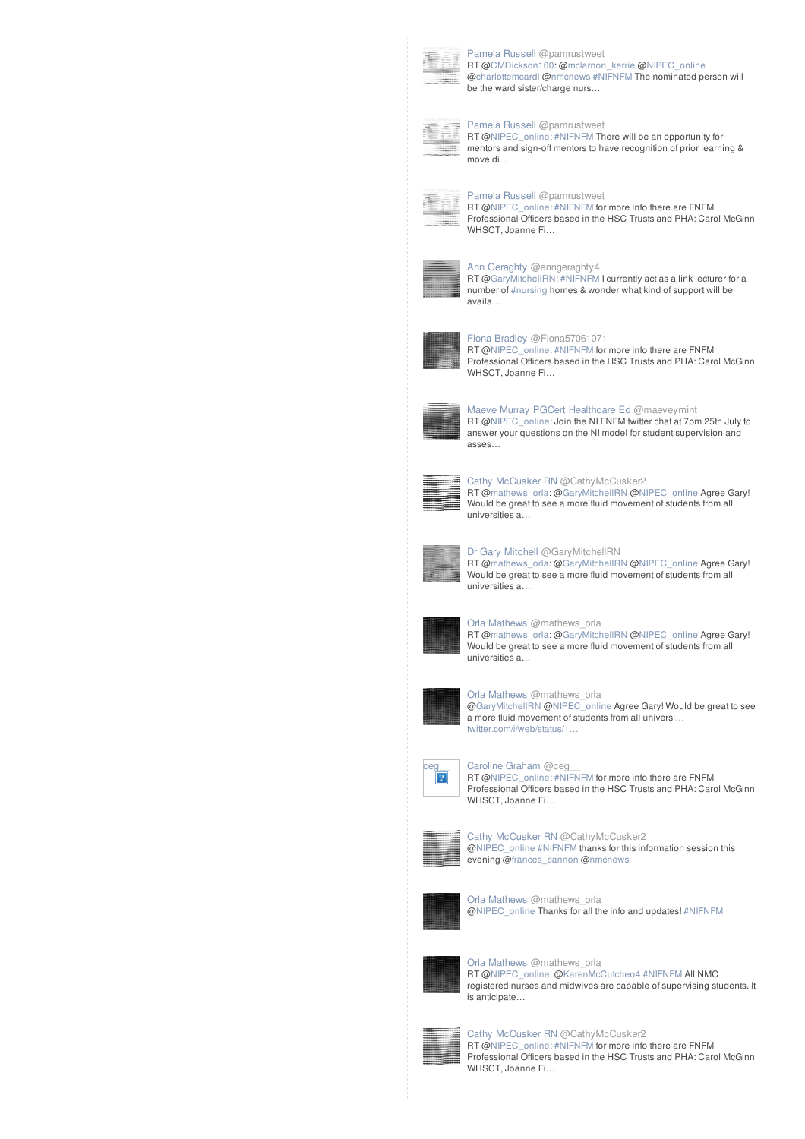

### **[Pamela](//twitter.com/pamrustweet) Russell @pamrustweet**

RT [@CMDickson100](http://twitter.com/CMDickson100): [@mclarnon\\_kerrie](http://twitter.com/mclarnon_kerrie) [@NIPEC\\_online](http://twitter.com/NIPEC_online) [@charlottemcardl](http://twitter.com/charlottemcardl) [@nmcnews](http://twitter.com/nmcnews) [#NIFNFM](/reach?q=%23NIFNFM) The nominated person will be the ward sister/charge nurs...

### **[Pamela](//twitter.com/pamrustweet) Russell @pamrustweet**



RT [@NIPEC\\_online](http://twitter.com/NIPEC_online): [#NIFNFM](/reach?q=%23NIFNFM) There will be an opportunity for mentors and sign-off mentors to have recognition of prior learning & move di…

## **[Pamela](//twitter.com/pamrustweet) Russell @pamrustweet** 赢



RT [@NIPEC\\_online](http://twitter.com/NIPEC_online): [#NIFNFM](/reach?q=%23NIFNFM) for more info there are FNFM Professional Officers based in the HSC Trusts and PHA: Carol McGinn WHSCT, Joanne Fi

### Ann [Geraghty](//twitter.com/anngeraghty4) @anngeraghty4



RT [@GaryMitchellRN](http://twitter.com/GaryMitchellRN): [#NIFNFM](/reach?q=%23NIFNFM) Icurrently act as a link lecturer for a number of [#nursing](/reach?q=%23nursing) homes & wonder what kind of support will be availa…



### Fiona [Bradley](//twitter.com/Fiona57061071) @Fiona57061071

RT [@NIPEC\\_online](http://twitter.com/NIPEC_online): [#NIFNFM](/reach?q=%23NIFNFM) for more info there are FNFM Professional Officers based in the HSC Trusts and PHA: Carol McGinn WHSCT, Joanne Fi…



### Maeve Murray PGCert [Healthcare](//twitter.com/maeveymint) Ed @maeveymint RT [@NIPEC\\_online](http://twitter.com/NIPEC_online): Join the NI FNFM twitter chat at 7pm 25th July to answer your questions on the NI model for student supervision and asses…



## Cathy [McCusker](//twitter.com/CathyMcCusker2) RN @CathyMcCusker2

RT [@mathews\\_orla](http://twitter.com/mathews_orla): [@GaryMitchellRN](http://twitter.com/GaryMitchellRN) [@NIPEC\\_online](http://twitter.com/NIPEC_online) Agree Gary! Would be great to see a more fluid movement of students from all universities a…



# Dr Gary [Mitchell](//twitter.com/GaryMitchellRN) @GaryMitchellRN

RT [@mathews\\_orla](http://twitter.com/mathews_orla): [@GaryMitchellRN](http://twitter.com/GaryMitchellRN) [@NIPEC\\_online](http://twitter.com/NIPEC_online) Agree Gary! Would be great to see a more fluid movement of students from all universities a…



### Orla [Mathews](//twitter.com/mathews_orla) @mathews\_orla

RT [@mathews\\_orla](http://twitter.com/mathews_orla): [@GaryMitchellRN](http://twitter.com/GaryMitchellRN) [@NIPEC\\_online](http://twitter.com/NIPEC_online) Agree Gary! Would be great to see a more fluid movement of students from all universities a…



### Orla [Mathews](//twitter.com/mathews_orla) @mathews\_orla

[@GaryMitchellRN](http://twitter.com/GaryMitchellRN) [@NIPEC\\_online](http://twitter.com/NIPEC_online) Agree Gary! Would be great to see a more fluid movement of students from all universi… [twitter.com/i/web/status/1…](https://t.co/tdz5eIkhPU)



### **[Caroline](//twitter.com/ceg__) Graham @ceg\_1**<br> **RT @NIPEC\_online: #NIF** RT [@NIPEC\\_online](http://twitter.com/NIPEC_online): [#NIFNFM](/reach?q=%23NIFNFM) for more info there are FNFM

Professional Officers based in the HSC Trusts and PHA: Carol McGinn WHSCT, Joanne Fi…



### Cathy [McCusker](//twitter.com/CathyMcCusker2) RN @CathyMcCusker2 [@NIPEC\\_online](http://twitter.com/NIPEC_online) [#NIFNFM](/reach?q=%23NIFNFM) thanks for this information session this evening [@frances\\_cannon](http://twitter.com/frances_cannon) [@nmcnews](http://twitter.com/nmcnews)



Orla [Mathews](//twitter.com/mathews_orla) @mathews\_orla [@NIPEC\\_online](http://twitter.com/NIPEC_online) Thanks for all the info and updates! [#NIFNFM](/reach?q=%23NIFNFM)



### Orla [Mathews](//twitter.com/mathews_orla) @mathews\_orla RT [@NIPEC\\_online](http://twitter.com/NIPEC_online): [@KarenMcCutcheo4](http://twitter.com/KarenMcCutcheo4) [#NIFNFM](/reach?q=%23NIFNFM) All NMC registered nurses and midwives are capable of supervising students. It is anticipate…



Cathy [McCusker](//twitter.com/CathyMcCusker2) RN @CathyMcCusker2 RT [@NIPEC\\_online](http://twitter.com/NIPEC_online): [#NIFNFM](/reach?q=%23NIFNFM) for more info there are FNFM Professional Officers based in the HSC Trusts and PHA: Carol McGinn WHSCT, Joanne Fi…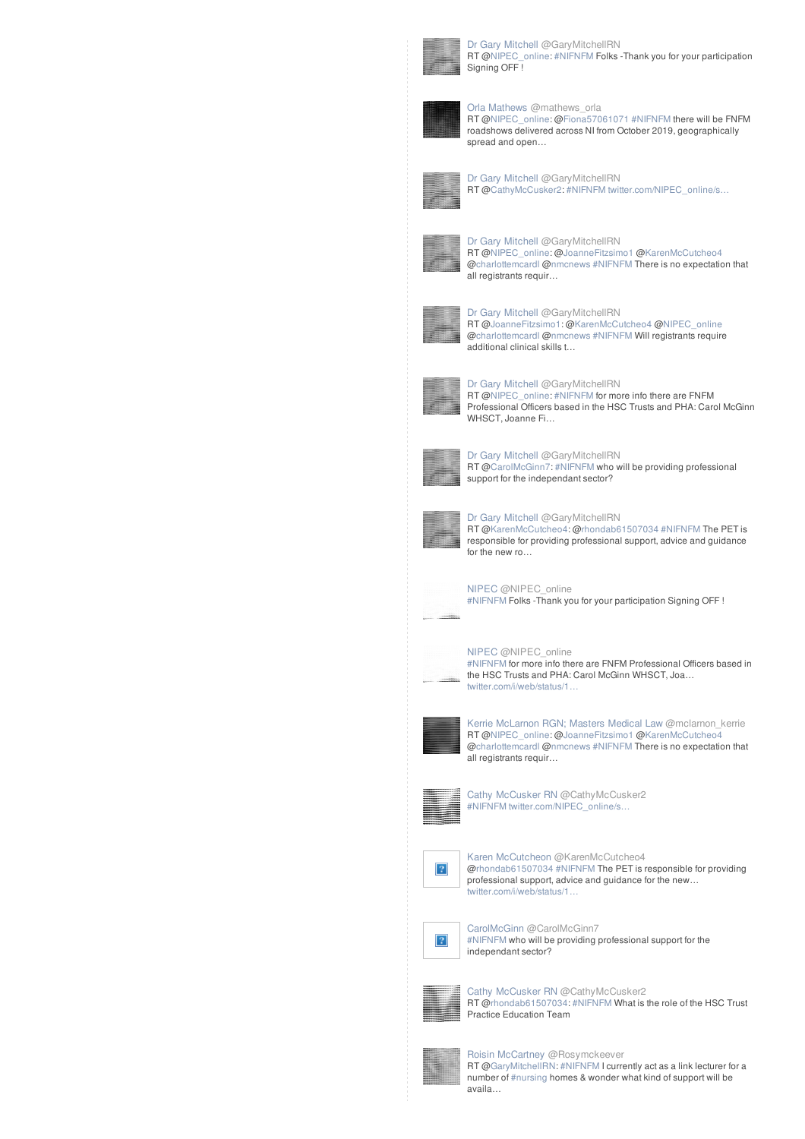

Dr Gary [Mitchell](//twitter.com/GaryMitchellRN) @GaryMitchellRN RT [@NIPEC\\_online](http://twitter.com/NIPEC_online): [#NIFNFM](/reach?q=%23NIFNFM) Folks -Thank you for your participation Signing OFF !



Orla [Mathews](//twitter.com/mathews_orla) @mathews\_orla RT [@NIPEC\\_online](http://twitter.com/NIPEC_online): [@Fiona57061071](http://twitter.com/Fiona57061071) [#NIFNFM](/reach?q=%23NIFNFM) there will be FNFM roadshows delivered across NI from October 2019, geographically spread and open…



Dr Gary [Mitchell](//twitter.com/GaryMitchellRN) @GaryMitchellRN RT [@CathyMcCusker2](http://twitter.com/CathyMcCusker2): [#NIFNFM](/reach?q=%23NIFNFM) twitter.com/NIPEC\_online/s...



Dr Gary [Mitchell](//twitter.com/GaryMitchellRN) @GaryMitchellRN RT [@NIPEC\\_online](http://twitter.com/NIPEC_online): [@JoanneFitzsimo1](http://twitter.com/JoanneFitzsimo1) @[KarenMcCutcheo4](http://twitter.com/KarenMcCutcheo4) [@charlottemcardl](http://twitter.com/charlottemcardl) [@nmcnews](http://twitter.com/nmcnews) [#NIFNFM](/reach?q=%23NIFNFM) There is no expectation that all registrants requir…



Dr Gary [Mitchell](//twitter.com/GaryMitchellRN) @GaryMitchellRN RT [@JoanneFitzsimo1](http://twitter.com/JoanneFitzsimo1): [@KarenMcCutcheo4](http://twitter.com/KarenMcCutcheo4) [@NIPEC\\_online](http://twitter.com/NIPEC_online) [@charlottemcardl](http://twitter.com/charlottemcardl) [@nmcnews](http://twitter.com/nmcnews) [#NIFNFM](/reach?q=%23NIFNFM) Will registrants require additional clinical skills t…



Dr Gary [Mitchell](//twitter.com/GaryMitchellRN) @GaryMitchellRN RT [@NIPEC\\_online](http://twitter.com/NIPEC_online): [#NIFNFM](/reach?q=%23NIFNFM) for more info there are FNFM Professional Officers based in the HSC Trusts and PHA: Carol McGinn WHSCT, Joanne Fi…



Dr Gary [Mitchell](//twitter.com/GaryMitchellRN) @GaryMitchellRN RT [@CarolMcGinn7:](http://twitter.com/CarolMcGinn7) [#NIFNFM](/reach?q=%23NIFNFM) who will be providing professional support for the independant sector?



Dr Gary [Mitchell](//twitter.com/GaryMitchellRN) @GaryMitchellRN

RT [@KarenMcCutcheo4](http://twitter.com/KarenMcCutcheo4): @[rhondab61507034](http://twitter.com/rhondab61507034) [#NIFNFM](/reach?q=%23NIFNFM) The PET is responsible for providing professional support, advice and guidance for the new ro…



[NIPEC](//twitter.com/NIPEC_online) @NIPEC\_online [#NIFNFM](/reach?q=%23NIFNFM) Folks -Thank you for your participation Signing OFF !

### [NIPEC](//twitter.com/NIPEC_online) @NIPEC\_online



[#NIFNFM](/reach?q=%23NIFNFM) for more info there are FNFM Professional Officers based in the HSC Trusts and PHA: Carol McGinn WHSCT, Joa… [twitter.com/i/web/status/1…](https://t.co/PRoLq5LAX8)



Kerrie [McLarnon](//twitter.com/mclarnon_kerrie) RGN; Masters Medical Law @mclarnon\_kerrie RT [@NIPEC\\_online](http://twitter.com/NIPEC_online): [@JoanneFitzsimo1](http://twitter.com/JoanneFitzsimo1) @[KarenMcCutcheo4](http://twitter.com/KarenMcCutcheo4) [@charlottemcardl](http://twitter.com/charlottemcardl) [@nmcnews](http://twitter.com/nmcnews) [#NIFNFM](/reach?q=%23NIFNFM) There is no expectation that all registrants requir…



Cathy [McCusker](//twitter.com/CathyMcCusker2) RN @CathyMcCusker2 [#NIFNFM](/reach?q=%23NIFNFM) [twitter.com/NIPEC\\_online/s…](https://t.co/W9kolw8Exk)



Karen [McCutcheon](//twitter.com/KarenMcCutcheo4) @KarenMcCutcheo4 [@rhondab61507034](http://twitter.com/rhondab61507034) [#NIFNFM](/reach?q=%23NIFNFM) The PET is responsible for providing professional support, advice and guidance for the new… [twitter.com/i/web/status/1…](https://t.co/GvOIXQlrWc)



[CarolMcGinn](//twitter.com/CarolMcGinn7) @CarolMcGinn7 [#NIFNFM](/reach?q=%23NIFNFM) who will be providing professional support for the independant sector?



Cathy [McCusker](//twitter.com/CathyMcCusker2) RN @CathyMcCusker2 RT [@rhondab61507034](http://twitter.com/rhondab61507034): [#NIFNFM](/reach?q=%23NIFNFM) What is the role of the HSC Trust Practice Education Team



Roisin [McCartney](//twitter.com/Rosymckeever) @Rosymckeever RT [@GaryMitchellRN](http://twitter.com/GaryMitchellRN): [#NIFNFM](/reach?q=%23NIFNFM) I currently act as a link lecturer for a number of [#nursing](/reach?q=%23nursing) homes & wonder what kind of support will be availa…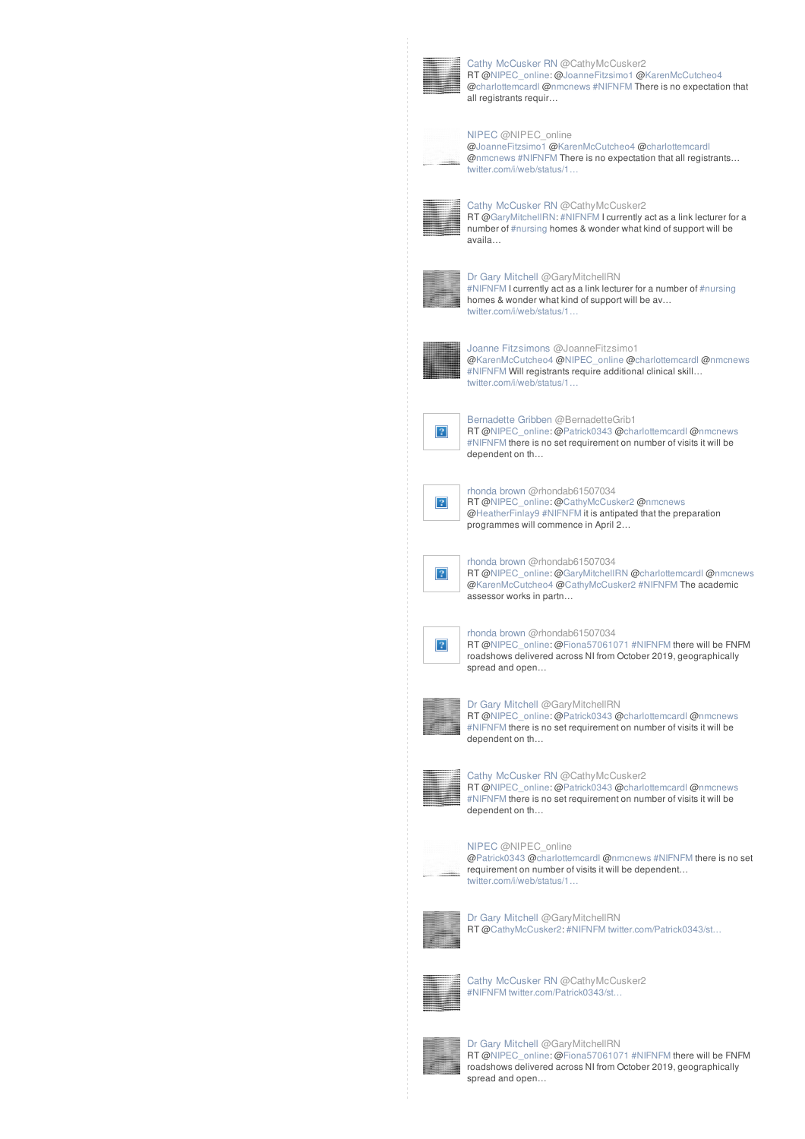

Cathy [McCusker](//twitter.com/CathyMcCusker2) RN @CathyMcCusker2 RT [@NIPEC\\_online](http://twitter.com/NIPEC_online): [@JoanneFitzsimo1](http://twitter.com/JoanneFitzsimo1) @[KarenMcCutcheo4](http://twitter.com/KarenMcCutcheo4) [@charlottemcardl](http://twitter.com/charlottemcardl) [@nmcnews](http://twitter.com/nmcnews) [#NIFNFM](/reach?q=%23NIFNFM) There is no expectation that all registrants requir…



### [NIPEC](//twitter.com/NIPEC_online) @NIPEC\_online **PMI** [@JoanneFitzsimo1](http://twitter.com/JoanneFitzsimo1) [@KarenMcCutcheo4](http://twitter.com/KarenMcCutcheo4) [@charlottemcardl](http://twitter.com/charlottemcardl)

[@nmcnews](http://twitter.com/nmcnews) [#NIFNFM](/reach?q=%23NIFNFM) There is no expectation that all registrants… [twitter.com/i/web/status/1…](https://t.co/5fJEg47oIu)



### Cathy [McCusker](//twitter.com/CathyMcCusker2) RN @CathyMcCusker2 RT [@GaryMitchellRN](http://twitter.com/GaryMitchellRN): [#NIFNFM](/reach?q=%23NIFNFM) Icurrently act as a link lecturer for a number of [#nursing](/reach?q=%23nursing) homes & wonder what kind of support will be availa…



### Dr Gary [Mitchell](//twitter.com/GaryMitchellRN) @GaryMitchellRN [#NIFNFM](/reach?q=%23NIFNFM) Icurrently act as a link lecturer for a number of [#nursing](/reach?q=%23nursing) homes & wonder what kind of support will be av… [twitter.com/i/web/status/1…](https://t.co/zNyTUqFnvi)

Joanne [Fitzsimons](//twitter.com/JoanneFitzsimo1) @JoanneFitzsimo1 [@KarenMcCutcheo4](http://twitter.com/KarenMcCutcheo4) [@NIPEC\\_online](http://twitter.com/NIPEC_online) [@charlottemcardl](http://twitter.com/charlottemcardl) [@nmcnews](http://twitter.com/nmcnews) [#NIFNFM](/reach?q=%23NIFNFM) Will registrants require additional clinical skill… [twitter.com/i/web/status/1…](https://t.co/dewYrUZV4V)



[Bernadette](//twitter.com/BernadetteGrib1) Gribben @BernadetteGrib1 RT [@NIPEC\\_online](http://twitter.com/NIPEC_online): [@Patrick0343](http://twitter.com/Patrick0343) [@charlottemcard](http://twitter.com/charlottemcardl)l [@nmcnews](http://twitter.com/nmcnews) [#NIFNFM](/reach?q=%23NIFNFM) there is no set requirement on number of visits it will be dependent on th…



 $|2|$ 

[rhonda](//twitter.com/rhondab61507034) brown @rhondab61507034 RT [@NIPEC\\_online](http://twitter.com/NIPEC_online): [@CathyMcCusker2](http://twitter.com/CathyMcCusker2) [@nmcnews](http://twitter.com/nmcnews) [@HeatherFinlay9](http://twitter.com/HeatherFinlay9) [#NIFNFM](/reach?q=%23NIFNFM) it is antipated that the preparation programmes will commence in April 2…



[rhonda](//twitter.com/rhondab61507034) brown @rhondab61507034

RT [@NIPEC\\_online](http://twitter.com/NIPEC_online): [@GaryMitchellRN](http://twitter.com/GaryMitchellRN) [@charlottemcardl](http://twitter.com/charlottemcardl) [@nmcnews](http://twitter.com/nmcnews) [@KarenMcCutcheo4](http://twitter.com/KarenMcCutcheo4) [@CathyMcCusker2](http://twitter.com/CathyMcCusker2) [#NIFNFM](/reach?q=%23NIFNFM) The academic assessor works in partn…



[rhonda](//twitter.com/rhondab61507034) brown @rhondab61507034 RT [@NIPEC\\_online](http://twitter.com/NIPEC_online): [@Fiona57061071](http://twitter.com/Fiona57061071) [#NIFNFM](/reach?q=%23NIFNFM) there will be FNFM





### Dr Gary [Mitchell](//twitter.com/GaryMitchellRN) @GaryMitchellRN

RT [@NIPEC\\_online](http://twitter.com/NIPEC_online): [@Patrick0343](http://twitter.com/Patrick0343) [@charlottemcard](http://twitter.com/charlottemcardl)l [@nmcnews](http://twitter.com/nmcnews) [#NIFNFM](/reach?q=%23NIFNFM) there is no set requirement on number of visits it will be dependent on th…



Cathy [McCusker](//twitter.com/CathyMcCusker2) RN @CathyMcCusker2

RT [@NIPEC\\_online](http://twitter.com/NIPEC_online): [@Patrick0343](http://twitter.com/Patrick0343) [@charlottemcard](http://twitter.com/charlottemcardl)l [@nmcnews](http://twitter.com/nmcnews) [#NIFNFM](/reach?q=%23NIFNFM) there is no set requirement on number of visits it will be dependent on th…



### [NIPEC](//twitter.com/NIPEC_online) @NIPEC\_online

**FINITED A** Patrick0343 [@charlottemcard](http://twitter.com/charlottemcardl)l [@nmcnews](http://twitter.com/nmcnews) [#NIFNFM](/reach?q=%23NIFNFM) there is no set requirement on number of visits it will be dependent… [twitter.com/i/web/status/1…](https://t.co/CO60O95s2e)



Dr Gary [Mitchell](//twitter.com/GaryMitchellRN) @GaryMitchellRN RT [@CathyMcCusker2](http://twitter.com/CathyMcCusker2): [#NIFNFM](/reach?q=%23NIFNFM) [twitter.com/Patrick0343/st…](https://t.co/SoUgEIyDvB)



Cathy [McCusker](//twitter.com/CathyMcCusker2) RN @CathyMcCusker2 [#NIFNFM](/reach?q=%23NIFNFM) [twitter.com/Patrick0343/st…](https://t.co/SoUgEIyDvB)



Dr Gary [Mitchell](//twitter.com/GaryMitchellRN) @GaryMitchellRN RT [@NIPEC\\_online](http://twitter.com/NIPEC_online): [@Fiona57061071](http://twitter.com/Fiona57061071) [#NIFNFM](/reach?q=%23NIFNFM) there will be FNFM roadshows delivered across NI from October 2019, geographically spread and open…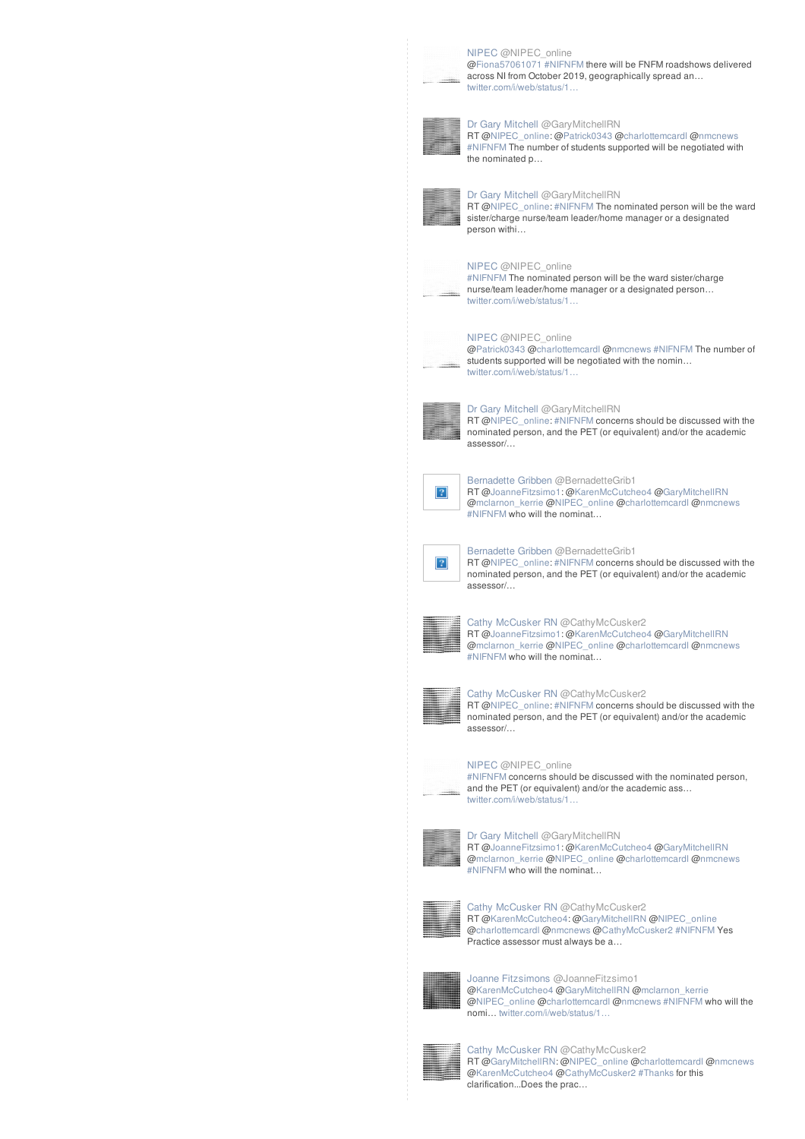

[NIPEC](//twitter.com/NIPEC_online) @NIPEC\_online **FIGURE 2008** Fiona57061071 [#NIFNFM](/reach?q=%23NIFNFM) there will be FNFM roadshows delivered across NI from October 2019, geographically spread an… [twitter.com/i/web/status/1…](https://t.co/YjXZ4pUfCr)



### Dr Gary [Mitchell](//twitter.com/GaryMitchellRN) @GaryMitchellRN

RT [@NIPEC\\_online](http://twitter.com/NIPEC_online): [@Patrick0343](http://twitter.com/Patrick0343) [@charlottemcard](http://twitter.com/charlottemcardl)l [@nmcnews](http://twitter.com/nmcnews) [#NIFNFM](/reach?q=%23NIFNFM) The number of students supported will be negotiated with the nominated p…



### Dr Gary [Mitchell](//twitter.com/GaryMitchellRN) @GaryMitchellRN

RT [@NIPEC\\_online](http://twitter.com/NIPEC_online): [#NIFNFM](/reach?q=%23NIFNFM) The nominated person will be the ward sister/charge nurse/team leader/home manager or a designated person withi…



### [NIPEC](//twitter.com/NIPEC_online) @NIPEC\_online



### **FIFALLE [#NIFNFM](/reach?q=%23NIFNFM) The nominated person will be the ward sister/charge** nurse/team leader/home manager or a designated person… [twitter.com/i/web/status/1…](https://t.co/nSjKZ90v9z)



### [NIPEC](//twitter.com/NIPEC_online) @NIPEC\_online

**FINDITED ATTENDAM** [@charlottemcard](http://twitter.com/charlottemcardl)l [@nmcnews](http://twitter.com/nmcnews) [#NIFNFM](/reach?q=%23NIFNFM) The number of students supported will be negotiated with the nomin… [twitter.com/i/web/status/1…](https://t.co/FItlOgHkUw)



### Dr Gary [Mitchell](//twitter.com/GaryMitchellRN) @GaryMitchellRN RT [@NIPEC\\_online](http://twitter.com/NIPEC_online): [#NIFNFM](/reach?q=%23NIFNFM) concerns should be discussed with the nominated person, and the PET (or equivalent) and/or the academic assessor/…



[Bernadette](//twitter.com/BernadetteGrib1) Gribben @BernadetteGrib1 RT [@JoanneFitzsimo1](http://twitter.com/JoanneFitzsimo1): [@KarenMcCutcheo4](http://twitter.com/KarenMcCutcheo4) [@GaryMitchellRN](http://twitter.com/GaryMitchellRN) [@mclarnon\\_kerrie](http://twitter.com/mclarnon_kerrie) [@NIPEC\\_online](http://twitter.com/NIPEC_online) [@charlottemcardl](http://twitter.com/charlottemcardl) [@nmcnews](http://twitter.com/nmcnews) [#NIFNFM](/reach?q=%23NIFNFM) who will the nominat…



[Bernadette](//twitter.com/BernadetteGrib1) Gribben @BernadetteGrib1 RT [@NIPEC\\_online](http://twitter.com/NIPEC_online): [#NIFNFM](/reach?q=%23NIFNFM) concerns should be discussed with the nominated person, and the PET (or equivalent) and/or the academic assessor/…



### Cathy [McCusker](//twitter.com/CathyMcCusker2) RN @CathyMcCusker2 RT [@JoanneFitzsimo1](http://twitter.com/JoanneFitzsimo1): [@KarenMcCutcheo4](http://twitter.com/KarenMcCutcheo4) [@GaryMitchellRN](http://twitter.com/GaryMitchellRN) [@mclarnon\\_kerrie](http://twitter.com/mclarnon_kerrie) [@NIPEC\\_online](http://twitter.com/NIPEC_online) [@charlottemcardl](http://twitter.com/charlottemcardl) [@nmcnews](http://twitter.com/nmcnews) [#NIFNFM](/reach?q=%23NIFNFM) who will the nominat…



### Cathy [McCusker](//twitter.com/CathyMcCusker2) RN @CathyMcCusker2

RT [@NIPEC\\_online](http://twitter.com/NIPEC_online): [#NIFNFM](/reach?q=%23NIFNFM) concerns should be discussed with the nominated person, and the PET (or equivalent) and/or the academic assessor/…



### [NIPEC](//twitter.com/NIPEC_online) @NIPEC\_online **FIFALLE ANIFATEM** concerns should be discussed with the nominated person, and the PET (or equivalent) and/or the academic ass… twitter.com/i/web/status/1



Dr Gary [Mitchell](//twitter.com/GaryMitchellRN) @GaryMitchellRN RT [@JoanneFitzsimo1](http://twitter.com/JoanneFitzsimo1): [@KarenMcCutcheo4](http://twitter.com/KarenMcCutcheo4) [@GaryMitchellRN](http://twitter.com/GaryMitchellRN) [@mclarnon\\_kerrie](http://twitter.com/mclarnon_kerrie) [@NIPEC\\_online](http://twitter.com/NIPEC_online) [@charlottemcardl](http://twitter.com/charlottemcardl) [@nmcnews](http://twitter.com/nmcnews) [#NIFNFM](/reach?q=%23NIFNFM) who will the nominat…



Cathy [McCusker](//twitter.com/CathyMcCusker2) RN @CathyMcCusker2 RT [@KarenMcCutcheo4](http://twitter.com/KarenMcCutcheo4): @[GaryMitchellRN](http://twitter.com/GaryMitchellRN) [@NIPEC\\_online](http://twitter.com/NIPEC_online) [@charlottemcardl](http://twitter.com/charlottemcardl) [@nmcnews](http://twitter.com/nmcnews) [@CathyMcCusker2](http://twitter.com/CathyMcCusker2) [#NIFNFM](/reach?q=%23NIFNFM) Yes Practice assessor must always be a…



Joanne [Fitzsimons](//twitter.com/JoanneFitzsimo1) @JoanneFitzsimo1 [@KarenMcCutcheo4](http://twitter.com/KarenMcCutcheo4) [@GaryMitchellRN](http://twitter.com/GaryMitchellRN) [@mclarnon\\_kerrie](http://twitter.com/mclarnon_kerrie) [@NIPEC\\_online](http://twitter.com/NIPEC_online) [@charlottemcardl](http://twitter.com/charlottemcardl) [@nmcnews](http://twitter.com/nmcnews) [#NIFNFM](/reach?q=%23NIFNFM) who will the nomi… [twitter.com/i/web/status/1…](https://t.co/wTzL66xQKg)



Cathy [McCusker](//twitter.com/CathyMcCusker2) RN @CathyMcCusker2 RT [@GaryMitchellRN](http://twitter.com/GaryMitchellRN): [@NIPEC\\_online](http://twitter.com/NIPEC_online) [@charlottemcardl](http://twitter.com/charlottemcardl) [@nmcnews](http://twitter.com/nmcnews) [@KarenMcCutcheo4](http://twitter.com/KarenMcCutcheo4) [@CathyMcCusker2](http://twitter.com/CathyMcCusker2) [#Thanks](/reach?q=%23Thanks) for this clarification...Does the prac…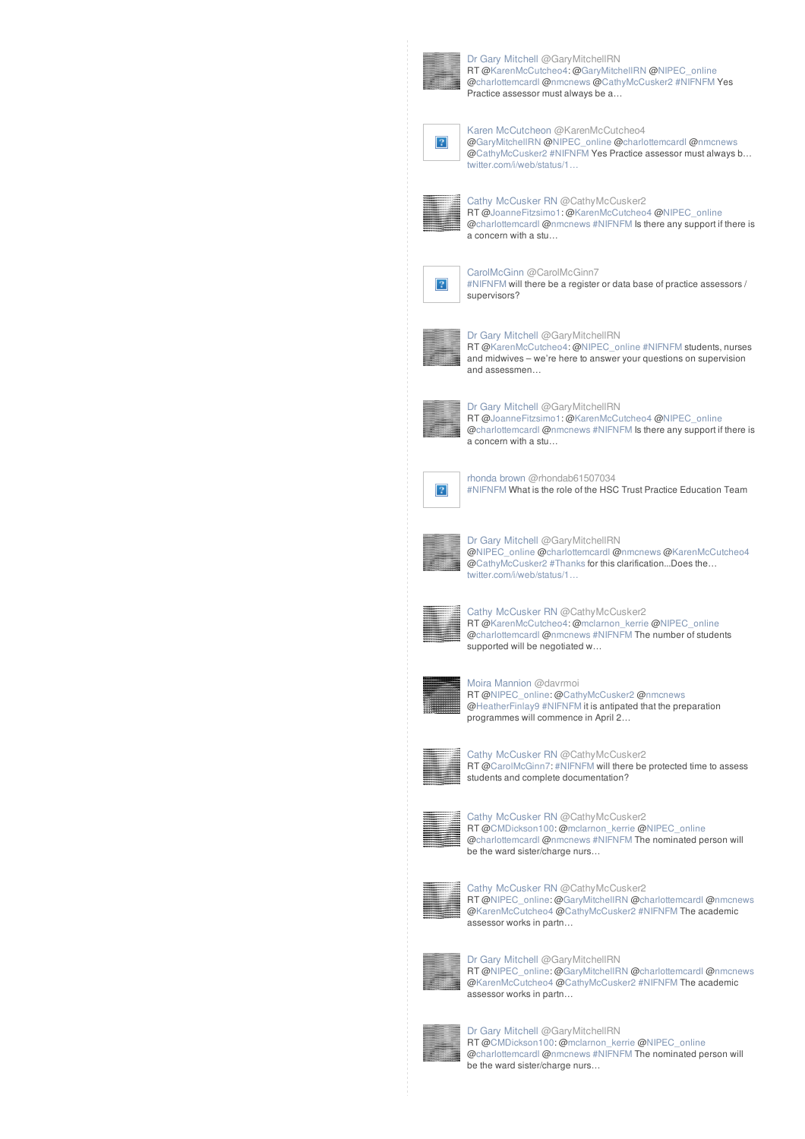

Dr Gary [Mitchell](//twitter.com/GaryMitchellRN) @GaryMitchellRN RT [@KarenMcCutcheo4](http://twitter.com/KarenMcCutcheo4): @[GaryMitchellRN](http://twitter.com/GaryMitchellRN) [@NIPEC\\_online](http://twitter.com/NIPEC_online) [@charlottemcardl](http://twitter.com/charlottemcardl) [@nmcnews](http://twitter.com/nmcnews) [@CathyMcCusker2](http://twitter.com/CathyMcCusker2) [#NIFNFM](/reach?q=%23NIFNFM) Yes Practice assessor must always be a…

# Karen [McCutcheon](//twitter.com/KarenMcCutcheo4) @KarenMcCutcheo4

[@GaryMitchellRN](http://twitter.com/GaryMitchellRN) [@NIPEC\\_online](http://twitter.com/NIPEC_online) [@charlottemcardl](http://twitter.com/charlottemcardl) [@nmcnews](http://twitter.com/nmcnews) [@CathyMcCusker2](http://twitter.com/CathyMcCusker2) [#NIFNFM](/reach?q=%23NIFNFM) Yes Practice assessor must always b… [twitter.com/i/web/status/1…](https://t.co/OW7rT7i8BP)



 $\vert$ ?

Cathy [McCusker](//twitter.com/CathyMcCusker2) RN @CathyMcCusker2 RT [@JoanneFitzsimo1](http://twitter.com/JoanneFitzsimo1): [@KarenMcCutcheo4](http://twitter.com/KarenMcCutcheo4) [@NIPEC\\_online](http://twitter.com/NIPEC_online) [@charlottemcardl](http://twitter.com/charlottemcardl) [@nmcnews](http://twitter.com/nmcnews) [#NIFNFM](/reach?q=%23NIFNFM) Is there any support if there is a concern with a stu…



[CarolMcGinn](//twitter.com/CarolMcGinn7) @CarolMcGinn7 [#NIFNFM](/reach?q=%23NIFNFM) will there be a register or data base of practice assessors / supervisors?



Dr Gary [Mitchell](//twitter.com/GaryMitchellRN) @GaryMitchellRN

RT [@KarenMcCutcheo4](http://twitter.com/KarenMcCutcheo4): @[NIPEC\\_online](http://twitter.com/NIPEC_online) [#NIFNFM](/reach?q=%23NIFNFM) students, nurses and midwives – we're here to answer your questions on supervision and assessmen…



Dr Gary [Mitchell](//twitter.com/GaryMitchellRN) @GaryMitchellRN RT [@JoanneFitzsimo1](http://twitter.com/JoanneFitzsimo1): [@KarenMcCutcheo4](http://twitter.com/KarenMcCutcheo4) [@NIPEC\\_online](http://twitter.com/NIPEC_online) [@charlottemcardl](http://twitter.com/charlottemcardl) [@nmcnews](http://twitter.com/nmcnews) [#NIFNFM](/reach?q=%23NIFNFM) Is there any support if there is a concern with a stu…



[rhonda](//twitter.com/rhondab61507034) brown @rhondab61507034 [#NIFNFM](/reach?q=%23NIFNFM) What is the role of the HSC Trust Practice Education Team



Dr Gary [Mitchell](//twitter.com/GaryMitchellRN) @GaryMitchellRN [@NIPEC\\_online](http://twitter.com/NIPEC_online) [@charlottemcardl](http://twitter.com/charlottemcardl) [@nmcnews](http://twitter.com/nmcnews) [@KarenMcCutcheo4](http://twitter.com/KarenMcCutcheo4) [@CathyMcCusker2](http://twitter.com/CathyMcCusker2) [#Thanks](/reach?q=%23Thanks) for this clarification...Does the… [twitter.com/i/web/status/1…](https://t.co/PXO4zoXxXR)



Cathy [McCusker](//twitter.com/CathyMcCusker2) RN @CathyMcCusker2 RT [@KarenMcCutcheo4](http://twitter.com/KarenMcCutcheo4): @[mclarnon\\_kerrie](http://twitter.com/mclarnon_kerrie) [@NIPEC\\_online](http://twitter.com/NIPEC_online) [@charlottemcardl](http://twitter.com/charlottemcardl) [@nmcnews](http://twitter.com/nmcnews) [#NIFNFM](/reach?q=%23NIFNFM) The number of students supported will be negotiated w...



Moira [Mannion](//twitter.com/davrmoi) @davrmoi RT [@NIPEC\\_online](http://twitter.com/NIPEC_online): [@CathyMcCusker2](http://twitter.com/CathyMcCusker2) [@nmcnews](http://twitter.com/nmcnews) [@HeatherFinlay9](http://twitter.com/HeatherFinlay9) [#NIFNFM](/reach?q=%23NIFNFM) it is antipated that the preparation programmes will commence in April 2…



Cathy [McCusker](//twitter.com/CathyMcCusker2) RN @CathyMcCusker2 RT [@CarolMcGinn7:](http://twitter.com/CarolMcGinn7) [#NIFNFM](/reach?q=%23NIFNFM) will there be protected time to assess students and complete documentation?



Cathy [McCusker](//twitter.com/CathyMcCusker2) RN @CathyMcCusker2 RT [@CMDickson100](http://twitter.com/CMDickson100): [@mclarnon\\_kerrie](http://twitter.com/mclarnon_kerrie) [@NIPEC\\_online](http://twitter.com/NIPEC_online) [@charlottemcardl](http://twitter.com/charlottemcardl) [@nmcnews](http://twitter.com/nmcnews) [#NIFNFM](/reach?q=%23NIFNFM) The nominated person will be the ward sister/charge nurs...



Cathy [McCusker](//twitter.com/CathyMcCusker2) RN @CathyMcCusker2 RT [@NIPEC\\_online](http://twitter.com/NIPEC_online): [@GaryMitchellRN](http://twitter.com/GaryMitchellRN) [@charlottemcardl](http://twitter.com/charlottemcardl) [@nmcnews](http://twitter.com/nmcnews) [@KarenMcCutcheo4](http://twitter.com/KarenMcCutcheo4) [@CathyMcCusker2](http://twitter.com/CathyMcCusker2) [#NIFNFM](/reach?q=%23NIFNFM) The academic assessor works in partn…



Dr Gary [Mitchell](//twitter.com/GaryMitchellRN) @GaryMitchellRN RT [@NIPEC\\_online](http://twitter.com/NIPEC_online): [@GaryMitchellRN](http://twitter.com/GaryMitchellRN) [@charlottemcardl](http://twitter.com/charlottemcardl) [@nmcnews](http://twitter.com/nmcnews) [@KarenMcCutcheo4](http://twitter.com/KarenMcCutcheo4) [@CathyMcCusker2](http://twitter.com/CathyMcCusker2) [#NIFNFM](/reach?q=%23NIFNFM) The academic assessor works in partn…



Dr Gary [Mitchell](//twitter.com/GaryMitchellRN) @GaryMitchellRN RT [@CMDickson100](http://twitter.com/CMDickson100): [@mclarnon\\_kerrie](http://twitter.com/mclarnon_kerrie) [@NIPEC\\_online](http://twitter.com/NIPEC_online) [@charlottemcardl](http://twitter.com/charlottemcardl) [@nmcnews](http://twitter.com/nmcnews) [#NIFNFM](/reach?q=%23NIFNFM) The nominated person will be the ward sister/charge nurs…